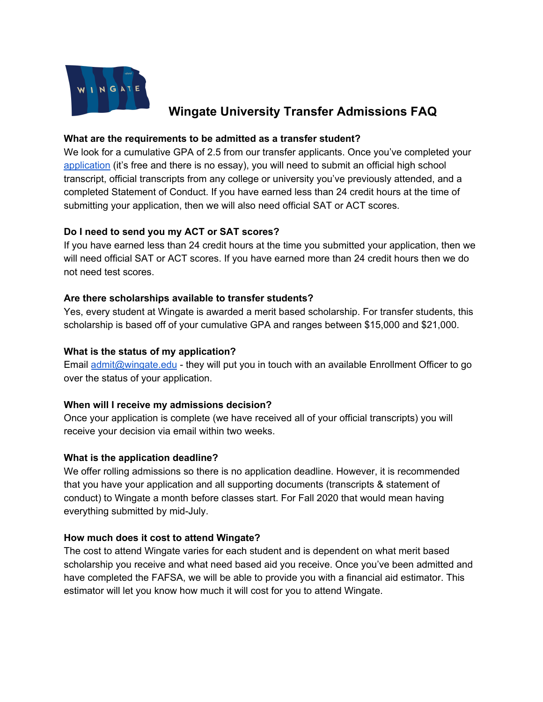

# **Wingate University Transfer Admissions FAQ**

## **What are the requirements to be admitted as a transfer student?**

We look for a cumulative GPA of 2.5 from our transfer applicants. Once you've completed your [application](https://www.wingate.edu/admissions/undergraduate-admissions) (it's free and there is no essay), you will need to submit an official high school transcript, official transcripts from any college or university you've previously attended, and a completed Statement of Conduct. If you have earned less than 24 credit hours at the time of submitting your application, then we will also need official SAT or ACT scores.

# **Do I need to send you my ACT or SAT scores?**

If you have earned less than 24 credit hours at the time you submitted your application, then we will need official SAT or ACT scores. If you have earned more than 24 credit hours then we do not need test scores.

## **Are there scholarships available to transfer students?**

Yes, every student at Wingate is awarded a merit based scholarship. For transfer students, this scholarship is based off of your cumulative GPA and ranges between \$15,000 and \$21,000.

## **What is the status of my application?**

Email [admit@wingate.edu](mailto:admit@wingate.edu) - they will put you in touch with an available Enrollment Officer to go over the status of your application.

# **When will I receive my admissions decision?**

Once your application is complete (we have received all of your official transcripts) you will receive your decision via email within two weeks.

#### **What is the application deadline?**

We offer rolling admissions so there is no application deadline. However, it is recommended that you have your application and all supporting documents (transcripts & statement of conduct) to Wingate a month before classes start. For Fall 2020 that would mean having everything submitted by mid-July.

# **How much does it cost to attend Wingate?**

The cost to attend Wingate varies for each student and is dependent on what merit based scholarship you receive and what need based aid you receive. Once you've been admitted and have completed the FAFSA, we will be able to provide you with a financial aid estimator. This estimator will let you know how much it will cost for you to attend Wingate.